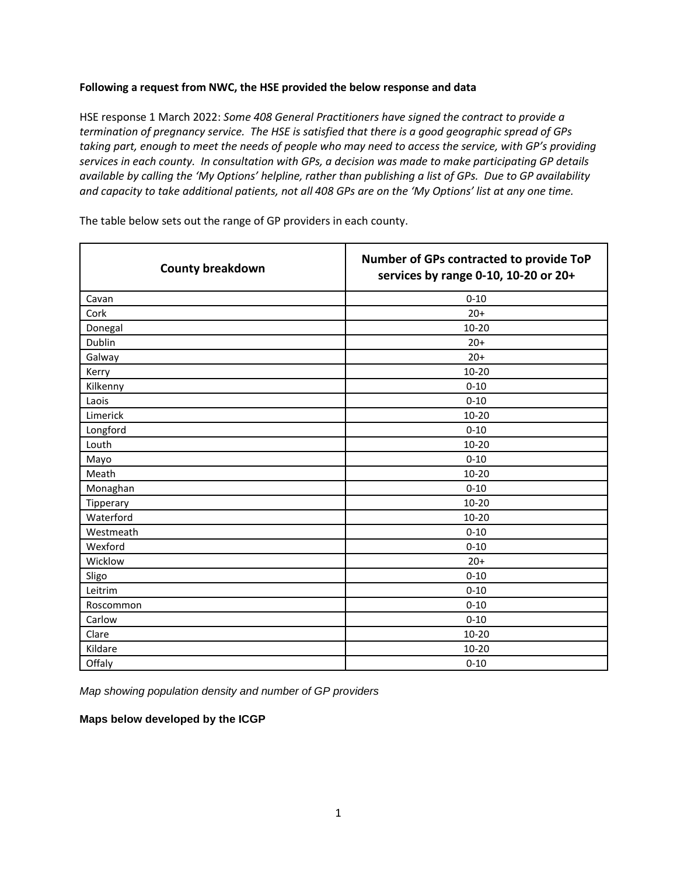## **Following a request from NWC, the HSE provided the below response and data**

HSE response 1 March 2022: *Some 408 General Practitioners have signed the contract to provide a termination of pregnancy service. The HSE is satisfied that there is a good geographic spread of GPs taking part, enough to meet the needs of people who may need to access the service, with GP's providing services in each county. In consultation with GPs, a decision was made to make participating GP details available by calling the 'My Options' helpline, rather than publishing a list of GPs. Due to GP availability and capacity to take additional patients, not all 408 GPs are on the 'My Options' list at any one time.*

| <b>County breakdown</b> | Number of GPs contracted to provide ToP<br>services by range 0-10, 10-20 or 20+ |
|-------------------------|---------------------------------------------------------------------------------|
| Cavan                   | $0 - 10$                                                                        |
| Cork                    | $20+$                                                                           |
| Donegal                 | 10-20                                                                           |
| Dublin                  | $20+$                                                                           |
| Galway                  | $20+$                                                                           |
| Kerry                   | $10 - 20$                                                                       |
| Kilkenny                | $0 - 10$                                                                        |
| Laois                   | $0 - 10$                                                                        |
| Limerick                | $10 - 20$                                                                       |
| Longford                | $0 - 10$                                                                        |
| Louth                   | $10 - 20$                                                                       |
| Mayo                    | $0 - 10$                                                                        |
| Meath                   | $10 - 20$                                                                       |
| Monaghan                | $0 - 10$                                                                        |
| Tipperary               | $10 - 20$                                                                       |
| Waterford               | 10-20                                                                           |
| Westmeath               | $0 - 10$                                                                        |
| Wexford                 | $0 - 10$                                                                        |
| Wicklow                 | $20+$                                                                           |
| Sligo                   | $0 - 10$                                                                        |
| Leitrim                 | $0 - 10$                                                                        |
| Roscommon               | $0 - 10$                                                                        |
| Carlow                  | $0 - 10$                                                                        |
| Clare                   | 10-20                                                                           |
| Kildare                 | 10-20                                                                           |
| Offaly                  | $0 - 10$                                                                        |

The table below sets out the range of GP providers in each county.

*Map showing population density and number of GP providers* 

## **Maps below developed by the ICGP**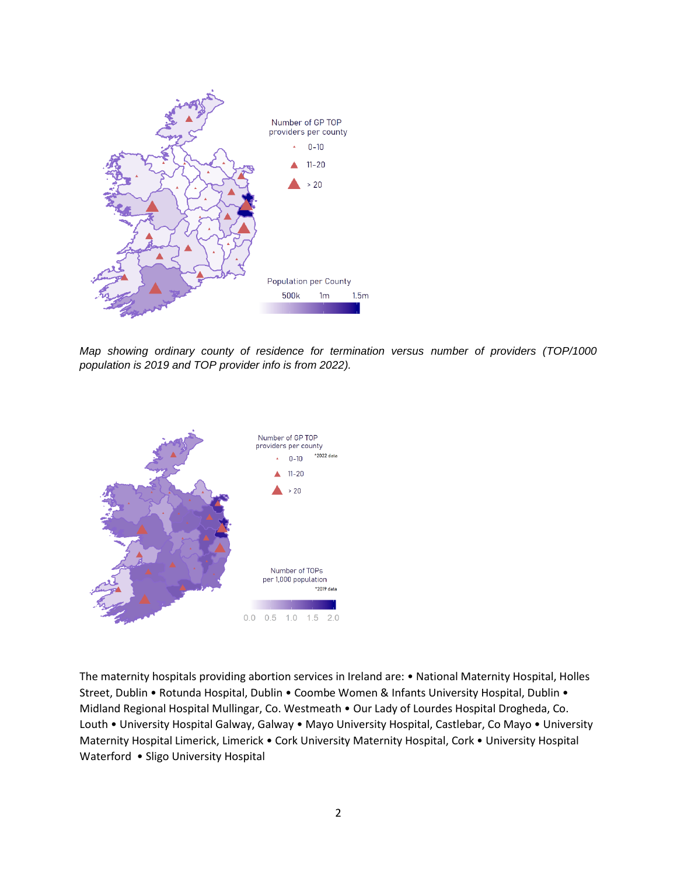

*Map showing ordinary county of residence for termination versus number of providers (TOP/1000 population is 2019 and TOP provider info is from 2022).*



The maternity hospitals providing abortion services in Ireland are: • National Maternity Hospital, Holles Street, Dublin • Rotunda Hospital, Dublin • Coombe Women & Infants University Hospital, Dublin • Midland Regional Hospital Mullingar, Co. Westmeath • Our Lady of Lourdes Hospital Drogheda, Co. Louth • University Hospital Galway, Galway • Mayo University Hospital, Castlebar, Co Mayo • University Maternity Hospital Limerick, Limerick • Cork University Maternity Hospital, Cork • University Hospital Waterford • Sligo University Hospital